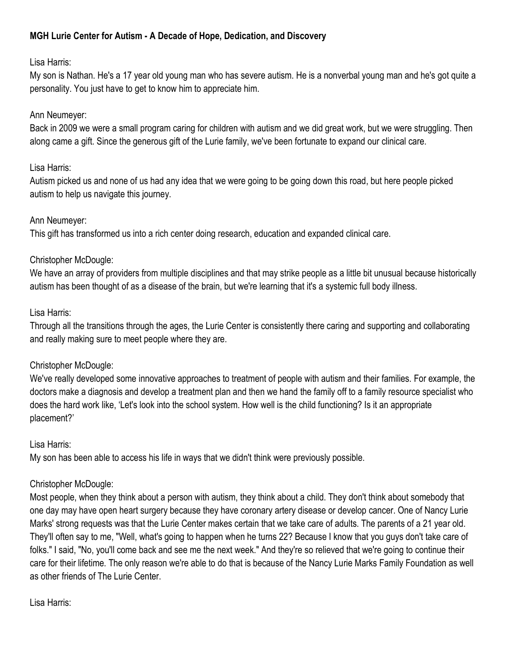# MGH Lurie Center for Autism - A Decade of Hope, Dedication, and Discovery

### Lisa Harris:

My son is Nathan. He's a 17 year old young man who has severe autism. He is a nonverbal young man and he's got quite a personality. You just have to get to know him to appreciate him.

### Ann Neumeyer:

Back in 2009 we were a small program caring for children with autism and we did great work, but we were struggling. Then along came a gift. Since the generous gift of the Lurie family, we've been fortunate to expand our clinical care.

#### Lisa Harris:

Autism picked us and none of us had any idea that we were going to be going down this road, but here people picked autism to help us navigate this journey.

### Ann Neumeyer:

This gift has transformed us into a rich center doing research, education and expanded clinical care.

## Christopher McDougle:

We have an array of providers from multiple disciplines and that may strike people as a little bit unusual because historically autism has been thought of as a disease of the brain, but we're learning that it's a systemic full body illness.

### Lisa Harris:

Through all the transitions through the ages, the Lurie Center is consistently there caring and supporting and collaborating and really making sure to meet people where they are.

### Christopher McDougle:

We've really developed some innovative approaches to treatment of people with autism and their families. For example, the doctors make a diagnosis and develop a treatment plan and then we hand the family off to a family resource specialist who does the hard work like, 'Let's look into the school system. How well is the child functioning? Is it an appropriate placement?'

### Lisa Harris:

My son has been able to access his life in ways that we didn't think were previously possible.

# Christopher McDougle:

Most people, when they think about a person with autism, they think about a child. They don't think about somebody that one day may have open heart surgery because they have coronary artery disease or develop cancer. One of Nancy Lurie Marks' strong requests was that the Lurie Center makes certain that we take care of adults. The parents of a 21 year old. They'll often say to me, "Well, what's going to happen when he turns 22? Because I know that you guys don't take care of folks." I said, "No, you'll come back and see me the next week." And they're so relieved that we're going to continue their care for their lifetime. The only reason we're able to do that is because of the Nancy Lurie Marks Family Foundation as well as other friends of The Lurie Center.

Lisa Harris: